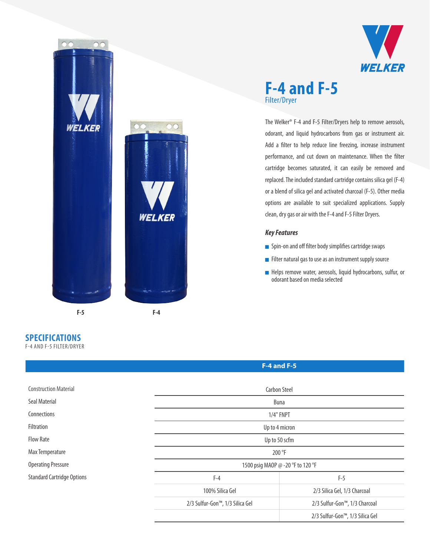

# **F-4 and F-5** Filter/Dryer

The Welker® F-4 and F-5 Filter/Dryers help to remove aerosols, odorant, and liquid hydrocarbons from gas or instrument air. Add a filter to help reduce line freezing, increase instrument performance, and cut down on maintenance. When the filter cartridge becomes saturated, it can easily be removed and replaced. The included standard cartridge contains silica gel (F-4) or a blend of silica gel and activated charcoal (F-5). Other media options are available to suit specialized applications. Supply clean, dry gas or air with the F-4 and F-5 Filter Dryers.

#### *Key Features*

- **Spin-on and off filter body simplifies cartridge swaps**
- Filter natural gas to use as an instrument supply source
- Helps remove water, aerosols, liquid hydrocarbons, sulfur, or odorant based on media selected

|                                   | <b>F-4 and F-5</b>                |                                 |
|-----------------------------------|-----------------------------------|---------------------------------|
| <b>Construction Material</b>      | <b>Carbon Steel</b>               |                                 |
| Seal Material                     | Buna                              |                                 |
| Connections                       | <b>1/4" FNPT</b>                  |                                 |
| Filtration                        | Up to 4 micron                    |                                 |
| <b>Flow Rate</b>                  | Up to 50 scfm                     |                                 |
| Max Temperature                   | 200 °F                            |                                 |
| <b>Operating Pressure</b>         | 1500 psig MAOP @ -20 °F to 120 °F |                                 |
| <b>Standard Cartridge Options</b> | $F-4$                             | $F-5$                           |
|                                   | 100% Silica Gel                   | 2/3 Silica Gel, 1/3 Charcoal    |
|                                   | 2/3 Sulfur-Gon™, 1/3 Silica Gel   | 2/3 Sulfur-Gon™, 1/3 Charcoal   |
|                                   |                                   | 2/3 Sulfur-Gon™, 1/3 Silica Gel |

*WELKER* 

**F-5 F-4**